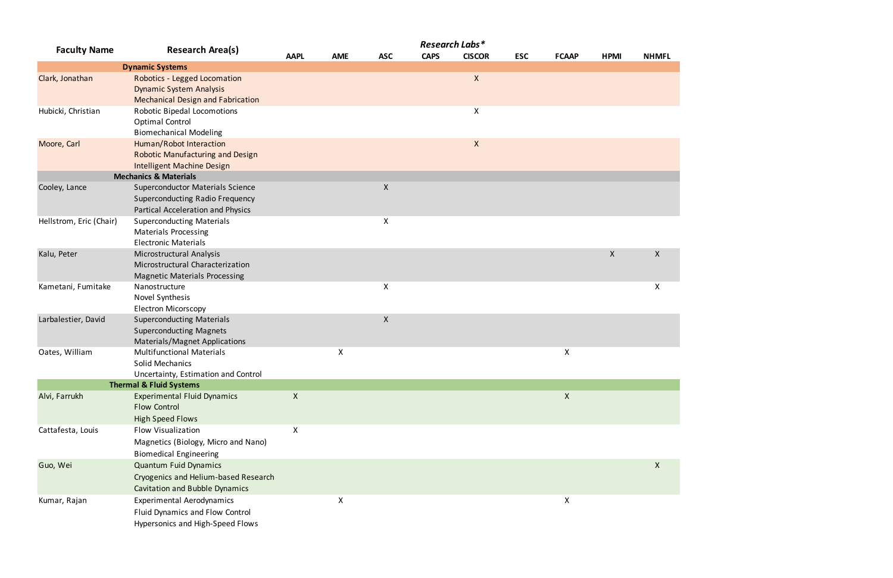| <b>Faculty Name</b>     | <b>Research Area(s)</b>                                      | Research Labs*            |            |                    |             |               |            |                    |             |              |
|-------------------------|--------------------------------------------------------------|---------------------------|------------|--------------------|-------------|---------------|------------|--------------------|-------------|--------------|
|                         |                                                              | <b>AAPL</b>               | <b>AME</b> | <b>ASC</b>         | <b>CAPS</b> | <b>CISCOR</b> | <b>ESC</b> | <b>FCAAP</b>       | <b>HPMI</b> | <b>NHMFL</b> |
|                         | <b>Dynamic Systems</b>                                       |                           |            |                    |             |               |            |                    |             |              |
| Clark, Jonathan         | Robotics - Legged Locomation                                 |                           |            |                    |             | $\mathsf{X}$  |            |                    |             |              |
|                         | <b>Dynamic System Analysis</b>                               |                           |            |                    |             |               |            |                    |             |              |
|                         | <b>Mechanical Design and Fabrication</b>                     |                           |            |                    |             |               |            |                    |             |              |
| Hubicki, Christian      | Robotic Bipedal Locomotions                                  |                           |            |                    |             | X             |            |                    |             |              |
|                         | Optimal Control                                              |                           |            |                    |             |               |            |                    |             |              |
|                         | <b>Biomechanical Modeling</b>                                |                           |            |                    |             |               |            |                    |             |              |
| Moore, Carl             | Human/Robot Interaction                                      |                           |            |                    |             | X             |            |                    |             |              |
|                         | <b>Robotic Manufacturing and Design</b>                      |                           |            |                    |             |               |            |                    |             |              |
|                         | <b>Intelligent Machine Design</b>                            |                           |            |                    |             |               |            |                    |             |              |
|                         | <b>Mechanics &amp; Materials</b>                             |                           |            |                    |             |               |            |                    |             |              |
| Cooley, Lance           | <b>Superconductor Materials Science</b>                      |                           |            | $\pmb{\times}$     |             |               |            |                    |             |              |
|                         | <b>Superconducting Radio Frequency</b>                       |                           |            |                    |             |               |            |                    |             |              |
|                         | Partical Acceleration and Physics                            |                           |            |                    |             |               |            |                    |             |              |
| Hellstrom, Eric (Chair) | <b>Superconducting Materials</b>                             |                           |            | X                  |             |               |            |                    |             |              |
|                         | <b>Materials Processing</b>                                  |                           |            |                    |             |               |            |                    |             |              |
| Kalu, Peter             | <b>Electronic Materials</b>                                  |                           |            |                    |             |               |            |                    | $\mathsf X$ | $\mathsf{X}$ |
|                         | Microstructural Analysis<br>Microstructural Characterization |                           |            |                    |             |               |            |                    |             |              |
|                         | <b>Magnetic Materials Processing</b>                         |                           |            |                    |             |               |            |                    |             |              |
| Kametani, Fumitake      | Nanostructure                                                |                           |            | X                  |             |               |            |                    |             | $\mathsf{X}$ |
|                         | Novel Synthesis                                              |                           |            |                    |             |               |            |                    |             |              |
|                         | <b>Electron Micorscopy</b>                                   |                           |            |                    |             |               |            |                    |             |              |
| Larbalestier, David     | <b>Superconducting Materials</b>                             |                           |            | $\pmb{\mathsf{X}}$ |             |               |            |                    |             |              |
|                         | <b>Superconducting Magnets</b>                               |                           |            |                    |             |               |            |                    |             |              |
|                         | Materials/Magnet Applications                                |                           |            |                    |             |               |            |                    |             |              |
| Oates, William          | <b>Multifunctional Materials</b>                             |                           | X          |                    |             |               |            | $\pmb{\mathsf{X}}$ |             |              |
|                         | <b>Solid Mechanics</b>                                       |                           |            |                    |             |               |            |                    |             |              |
|                         | Uncertainty, Estimation and Control                          |                           |            |                    |             |               |            |                    |             |              |
|                         | <b>Thermal &amp; Fluid Systems</b>                           |                           |            |                    |             |               |            |                    |             |              |
| Alvi, Farrukh           | <b>Experimental Fluid Dynamics</b>                           | $\boldsymbol{\mathsf{X}}$ |            |                    |             |               |            | $\boldsymbol{X}$   |             |              |
|                         | <b>Flow Control</b>                                          |                           |            |                    |             |               |            |                    |             |              |
|                         | <b>High Speed Flows</b>                                      |                           |            |                    |             |               |            |                    |             |              |
| Cattafesta, Louis       | Flow Visualization                                           | X                         |            |                    |             |               |            |                    |             |              |
|                         | Magnetics (Biology, Micro and Nano)                          |                           |            |                    |             |               |            |                    |             |              |
|                         | <b>Biomedical Engineering</b>                                |                           |            |                    |             |               |            |                    |             |              |
| Guo, Wei                | <b>Quantum Fuid Dynamics</b>                                 |                           |            |                    |             |               |            |                    |             | $\mathsf{X}$ |
|                         | Cryogenics and Helium-based Research                         |                           |            |                    |             |               |            |                    |             |              |
|                         | <b>Cavitation and Bubble Dynamics</b>                        |                           |            |                    |             |               |            |                    |             |              |
| Kumar, Rajan            | <b>Experimental Aerodynamics</b>                             |                           | X          |                    |             |               |            | X                  |             |              |
|                         | Fluid Dynamics and Flow Control                              |                           |            |                    |             |               |            |                    |             |              |
|                         | Hypersonics and High-Speed Flows                             |                           |            |                    |             |               |            |                    |             |              |
|                         |                                                              |                           |            |                    |             |               |            |                    |             |              |

## X X X